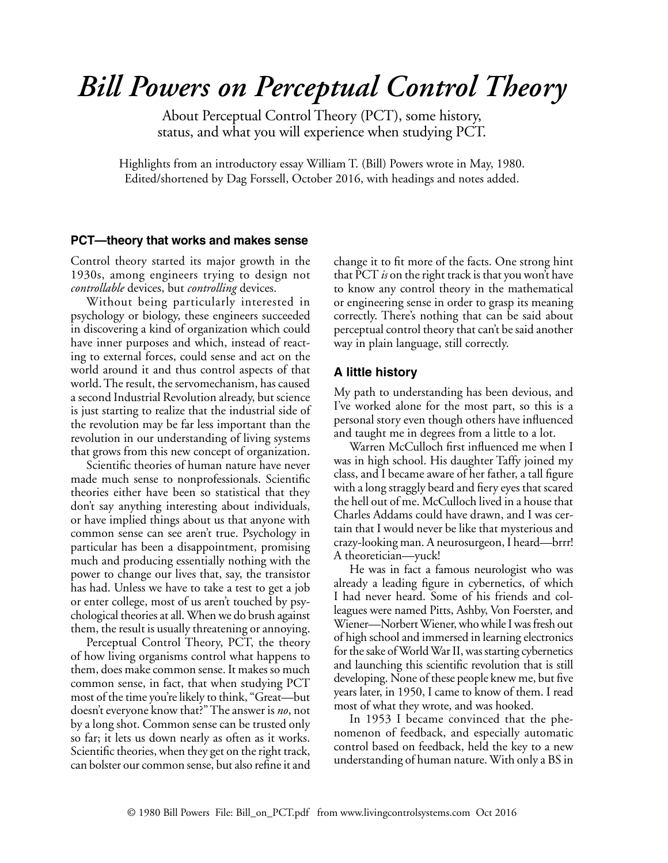# *Bill Powers on Perceptual Control Theory*

About Perceptual Control Theory (PCT), some history, status, and what you will experience when studying PCT.

Highlights from an introductory essay William T. (Bill) Powers wrote in May, 1980. Edited/shortened by Dag Forssell, October 2016, with headings and notes added.

#### **PCT—theory that works and makes sense**

Control theory started its major growth in the 1930s, among engineers trying to design not *controllable* devices, but *controlling* devices.

Without being particularly interested in psychology or biology, these engineers succeeded in discovering a kind of organization which could have inner purposes and which, instead of reacting to external forces, could sense and act on the world around it and thus control aspects of that world. The result, the servomechanism, has caused a second Industrial Revolution already, but science is just starting to realize that the industrial side of the revolution may be far less important than the revolution in our understanding of living systems that grows from this new concept of organization.

Scientific theories of human nature have never made much sense to nonprofessionals. Scientific theories either have been so statistical that they don't say anything interesting about individuals, or have implied things about us that anyone with common sense can see aren't true. Psychology in particular has been a disappointment, promising much and producing essentially nothing with the power to change our lives that, say, the transistor has had. Unless we have to take a test to get a job or enter college, most of us aren't touched by psychological theories at all. When we do brush against them, the result is usually threatening or annoying.

Perceptual Control Theory, PCT, the theory of how living organisms control what happens to them, does make common sense. It makes so much common sense, in fact, that when studying PCT most of the time you're likely to think, "Great—but doesn't everyone know that?" The answer is *no*, not by a long shot. Common sense can be trusted only so far; it lets us down nearly as often as it works. Scientific theories, when they get on the right track, can bolster our common sense, but also refine it and change it to fit more of the facts. One strong hint that PCT *is* on the right track is that you won't have to know any control theory in the mathematical or engineering sense in order to grasp its meaning correctly. There's nothing that can be said about perceptual control theory that can't be said another way in plain language, still correctly.

## **A little history**

My path to understanding has been devious, and I've worked alone for the most part, so this is a personal story even though others have influenced and taught me in degrees from a little to a lot.

Warren McCulloch first influenced me when I was in high school. His daughter Taffy joined my class, and I became aware of her father, a tall figure with a long straggly beard and fiery eyes that scared the hell out of me. McCulloch lived in a house that Charles Addams could have drawn, and I was certain that I would never be like that mysterious and crazy-looking man. A neurosurgeon, I heard—brrr! A theoretician—yuck!

He was in fact a famous neurologist who was already a leading figure in cybernetics, of which I had never heard. Some of his friends and colleagues were named Pitts, Ashby, Von Foerster, and Wiener—Norbert Wiener, who while I was fresh out of high school and immersed in learning electronics for the sake of World War II, was starting cybernetics and launching this scientific revolution that is still developing. None of these people knew me, but five years later, in 1950, I came to know of them. I read most of what they wrote, and was hooked.

In 1953 I became convinced that the phenomenon of feedback, and especially automatic control based on feedback, held the key to a new understanding of human nature. With only a BS in